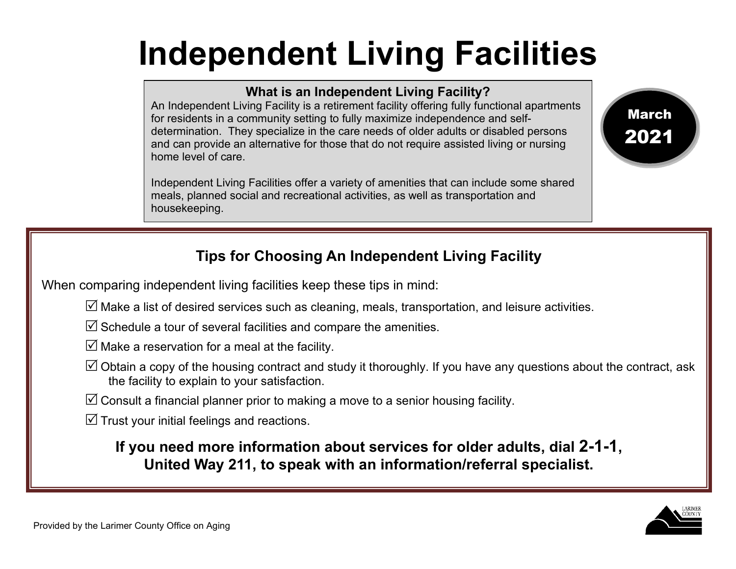## **Independent Living Facilities**

## **What is an Independent Living Facility?**

An Independent Living Facility is a retirement facility offering fully functional apartments for residents in a community setting to fully maximize independence and selfdetermination. They specialize in the care needs of older adults or disabled persons and can provide an alternative for those that do not require assisted living or nursing home level of care.

Independent Living Facilities offer a variety of amenities that can include some shared meals, planned social and recreational activities, as well as transportation and housekeeping.



## **Tips for Choosing An Independent Living Facility**

When comparing independent living facilities keep these tips in mind:

 $\triangledown$  Make a list of desired services such as cleaning, meals, transportation, and leisure activities.

 $\triangledown$  Schedule a tour of several facilities and compare the amenities.

 $\triangledown$  Make a reservation for a meal at the facility.

 $\boxtimes$  Obtain a copy of the housing contract and study it thoroughly. If you have any questions about the contract, ask the facility to explain to your satisfaction.

 $\boxtimes$  Consult a financial planner prior to making a move to a senior housing facility.

 $\mathbb Z$  Trust your initial feelings and reactions.

**If you need more information about services for older adults, dial 2-1-1, United Way 211, to speak with an information/referral specialist.**

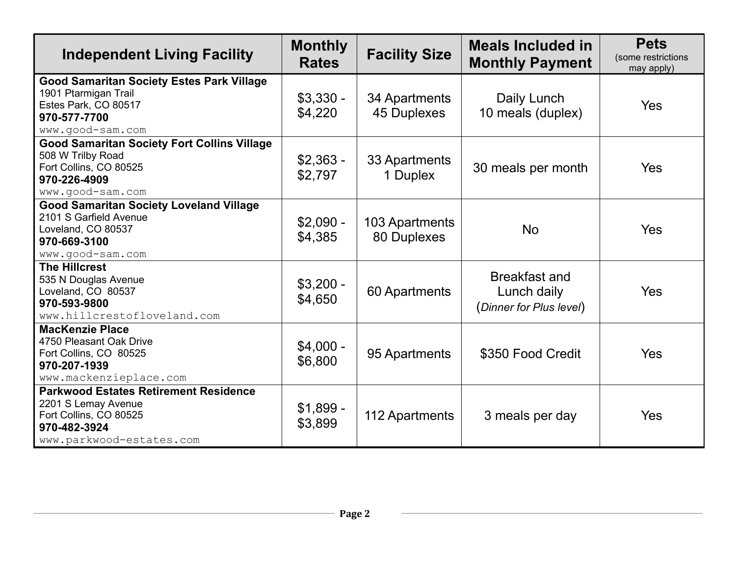| <b>Independent Living Facility</b>                                                                                                        | <b>Monthly</b><br><b>Rates</b> | <b>Facility Size</b>          | Meals Included in<br><b>Monthly Payment</b>                    | <b>Pets</b><br>(some restrictions<br>may apply) |
|-------------------------------------------------------------------------------------------------------------------------------------------|--------------------------------|-------------------------------|----------------------------------------------------------------|-------------------------------------------------|
| <b>Good Samaritan Society Estes Park Village</b><br>1901 Ptarmigan Trail<br>Estes Park, CO 80517<br>970-577-7700<br>www.good-sam.com      | $$3,330 -$<br>\$4,220          | 34 Apartments<br>45 Duplexes  | Daily Lunch<br>10 meals (duplex)                               | Yes                                             |
| <b>Good Samaritan Society Fort Collins Village</b><br>508 W Trilby Road<br>Fort Collins, CO 80525<br>970-226-4909<br>www.good-sam.com     | $$2,363 -$<br>\$2,797          | 33 Apartments<br>1 Duplex     | 30 meals per month                                             | Yes                                             |
| <b>Good Samaritan Society Loveland Village</b><br>2101 S Garfield Avenue<br>Loveland, CO 80537<br>970-669-3100<br>www.good-sam.com        | $$2,090 -$<br>\$4,385          | 103 Apartments<br>80 Duplexes | <b>No</b>                                                      | Yes                                             |
| <b>The Hillcrest</b><br>535 N Douglas Avenue<br>Loveland, CO 80537<br>970-593-9800<br>www.hillcrestofloveland.com                         | $$3,200 -$<br>\$4,650          | 60 Apartments                 | <b>Breakfast and</b><br>Lunch daily<br>(Dinner for Plus level) | Yes                                             |
| <b>MacKenzie Place</b><br>4750 Pleasant Oak Drive<br>Fort Collins, CO 80525<br>970-207-1939<br>www.mackenzieplace.com                     | $$4,000 -$<br>\$6,800          | 95 Apartments                 | \$350 Food Credit                                              | Yes                                             |
| <b>Parkwood Estates Retirement Residence</b><br>2201 S Lemay Avenue<br>Fort Collins, CO 80525<br>970-482-3924<br>www.parkwood-estates.com | $$1,899 -$<br>\$3,899          | 112 Apartments                | 3 meals per day                                                | Yes                                             |